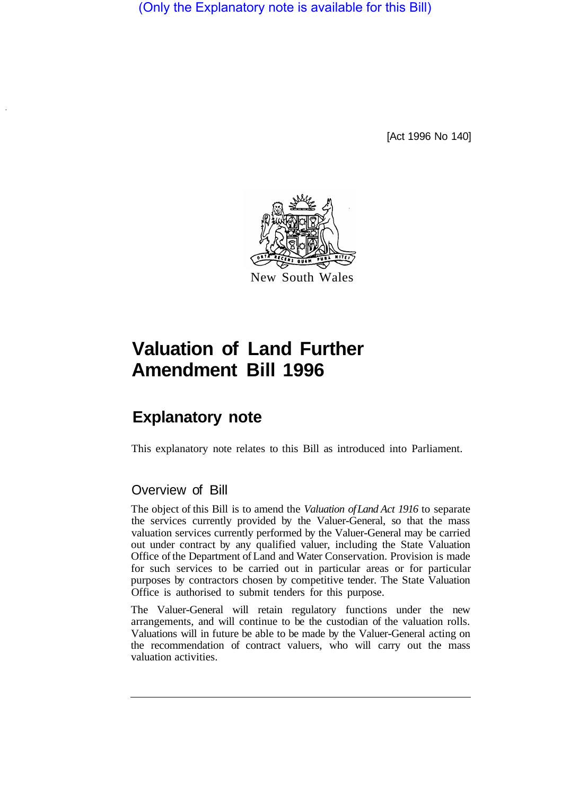(Only the Explanatory note is available for this Bill)

[Act 1996 No 140]



## **Valuation of Land Further Amendment Bill 1996**

## **Explanatory note**

This explanatory note relates to this Bill as introduced into Parliament.

## Overview of Bill

The object of this Bill is to amend the *Valuation of Land Act 1916* to separate the services currently provided by the Valuer-General, so that the mass valuation services currently performed by the Valuer-General may be carried out under contract by any qualified valuer, including the State Valuation Office of the Department of Land and Water Conservation. Provision is made for such services to be carried out in particular areas or for particular purposes by contractors chosen by competitive tender. The State Valuation Office is authorised to submit tenders for this purpose.

The Valuer-General will retain regulatory functions under the new arrangements, and will continue to be the custodian of the valuation rolls. Valuations will in future be able to be made by the Valuer-General acting on the recommendation of contract valuers, who will carry out the mass valuation activities.